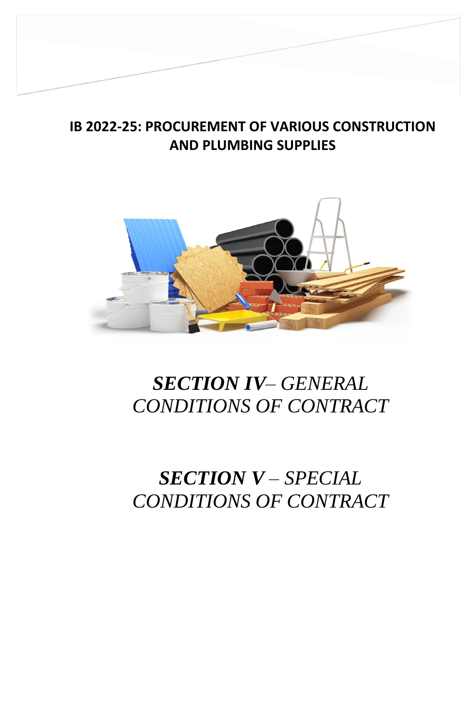## **IB 2022-25: PROCUREMENT OF VARIOUS CONSTRUCTION AND PLUMBING SUPPLIES**

**SECTION IV – GENERAL CONDITIONS OF** 



## *SECTION IV– GENERAL CONDITIONS OF CONTRACT*

## *SECTION V – SPECIAL CONDITIONS OF CONTRACT*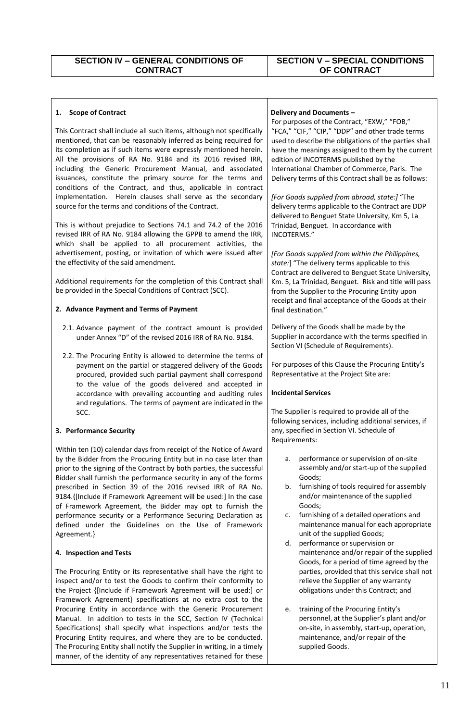## **SECTION V – SPECIAL CONDITIONS OF CONTRACT**

| <b>Scope of Contract</b><br>1.                                                                                                                                                                                                                                                                                                                                                                                                                                                                                                                                                                | Delivery and Documents -                                                                                                                                                                                                                                                                                                                                                                                                                                              |
|-----------------------------------------------------------------------------------------------------------------------------------------------------------------------------------------------------------------------------------------------------------------------------------------------------------------------------------------------------------------------------------------------------------------------------------------------------------------------------------------------------------------------------------------------------------------------------------------------|-----------------------------------------------------------------------------------------------------------------------------------------------------------------------------------------------------------------------------------------------------------------------------------------------------------------------------------------------------------------------------------------------------------------------------------------------------------------------|
| This Contract shall include all such items, although not specifically<br>mentioned, that can be reasonably inferred as being required for<br>its completion as if such items were expressly mentioned herein.<br>All the provisions of RA No. 9184 and its 2016 revised IRR,<br>including the Generic Procurement Manual, and associated<br>issuances, constitute the primary source for the terms and<br>conditions of the Contract, and thus, applicable in contract<br>implementation. Herein clauses shall serve as the secondary<br>source for the terms and conditions of the Contract. | For purposes of the Contract, "EXW," "FOB,"<br>"FCA," "CIF," "CIP," "DDP" and other trade terms<br>used to describe the obligations of the parties shall<br>have the meanings assigned to them by the current<br>edition of INCOTERMS published by the<br>International Chamber of Commerce, Paris. The<br>Delivery terms of this Contract shall be as follows:<br>[For Goods supplied from abroad, state:] "The<br>delivery terms applicable to the Contract are DDP |
| This is without prejudice to Sections 74.1 and 74.2 of the 2016<br>revised IRR of RA No. 9184 allowing the GPPB to amend the IRR,<br>which shall be applied to all procurement activities, the<br>advertisement, posting, or invitation of which were issued after<br>the effectivity of the said amendment.                                                                                                                                                                                                                                                                                  | delivered to Benguet State University, Km 5, La<br>Trinidad, Benguet. In accordance with<br>INCOTERMS."<br>[For Goods supplied from within the Philippines,<br>state:] "The delivery terms applicable to this                                                                                                                                                                                                                                                         |
| Additional requirements for the completion of this Contract shall<br>be provided in the Special Conditions of Contract (SCC).<br>2. Advance Payment and Terms of Payment                                                                                                                                                                                                                                                                                                                                                                                                                      | Contract are delivered to Benguet State University,<br>Km. 5, La Trinidad, Benguet. Risk and title will pass<br>from the Supplier to the Procuring Entity upon<br>receipt and final acceptance of the Goods at their                                                                                                                                                                                                                                                  |
|                                                                                                                                                                                                                                                                                                                                                                                                                                                                                                                                                                                               | final destination."                                                                                                                                                                                                                                                                                                                                                                                                                                                   |
| 2.1. Advance payment of the contract amount is provided<br>under Annex "D" of the revised 2016 IRR of RA No. 9184.                                                                                                                                                                                                                                                                                                                                                                                                                                                                            | Delivery of the Goods shall be made by the<br>Supplier in accordance with the terms specified in<br>Section VI (Schedule of Requirements).                                                                                                                                                                                                                                                                                                                            |
| 2.2. The Procuring Entity is allowed to determine the terms of<br>payment on the partial or staggered delivery of the Goods<br>procured, provided such partial payment shall correspond<br>to the value of the goods delivered and accepted in                                                                                                                                                                                                                                                                                                                                                | For purposes of this Clause the Procuring Entity's<br>Representative at the Project Site are:                                                                                                                                                                                                                                                                                                                                                                         |
|                                                                                                                                                                                                                                                                                                                                                                                                                                                                                                                                                                                               |                                                                                                                                                                                                                                                                                                                                                                                                                                                                       |
| accordance with prevailing accounting and auditing rules<br>and regulations. The terms of payment are indicated in the                                                                                                                                                                                                                                                                                                                                                                                                                                                                        | <b>Incidental Services</b>                                                                                                                                                                                                                                                                                                                                                                                                                                            |
| SCC.<br>3. Performance Security                                                                                                                                                                                                                                                                                                                                                                                                                                                                                                                                                               | The Supplier is required to provide all of the<br>following services, including additional services, if<br>any, specified in Section VI. Schedule of                                                                                                                                                                                                                                                                                                                  |
|                                                                                                                                                                                                                                                                                                                                                                                                                                                                                                                                                                                               | Requirements:                                                                                                                                                                                                                                                                                                                                                                                                                                                         |
| Within ten (10) calendar days from receipt of the Notice of Award<br>by the Bidder from the Procuring Entity but in no case later than<br>prior to the signing of the Contract by both parties, the successful                                                                                                                                                                                                                                                                                                                                                                                | performance or supervision of on-site<br>а.<br>assembly and/or start-up of the supplied                                                                                                                                                                                                                                                                                                                                                                               |
| Bidder shall furnish the performance security in any of the forms<br>prescribed in Section 39 of the 2016 revised IRR of RA No.<br>9184. [Include if Framework Agreement will be used:] In the case                                                                                                                                                                                                                                                                                                                                                                                           | Goods;<br>furnishing of tools required for assembly<br>b.<br>and/or maintenance of the supplied                                                                                                                                                                                                                                                                                                                                                                       |
| of Framework Agreement, the Bidder may opt to furnish the<br>performance security or a Performance Securing Declaration as<br>defined under the Guidelines on the Use of Framework                                                                                                                                                                                                                                                                                                                                                                                                            | Goods;<br>furnishing of a detailed operations and<br>c.<br>maintenance manual for each appropriate                                                                                                                                                                                                                                                                                                                                                                    |
| Agreement.}                                                                                                                                                                                                                                                                                                                                                                                                                                                                                                                                                                                   | unit of the supplied Goods;<br>performance or supervision or<br>d.                                                                                                                                                                                                                                                                                                                                                                                                    |
| 4. Inspection and Tests                                                                                                                                                                                                                                                                                                                                                                                                                                                                                                                                                                       | maintenance and/or repair of the supplied                                                                                                                                                                                                                                                                                                                                                                                                                             |
| The Procuring Entity or its representative shall have the right to<br>inspect and/or to test the Goods to confirm their conformity to<br>the Project {[Include if Framework Agreement will be used:] or<br>Framework Agreement} specifications at no extra cost to the                                                                                                                                                                                                                                                                                                                        | Goods, for a period of time agreed by the<br>parties, provided that this service shall not<br>relieve the Supplier of any warranty<br>obligations under this Contract; and                                                                                                                                                                                                                                                                                            |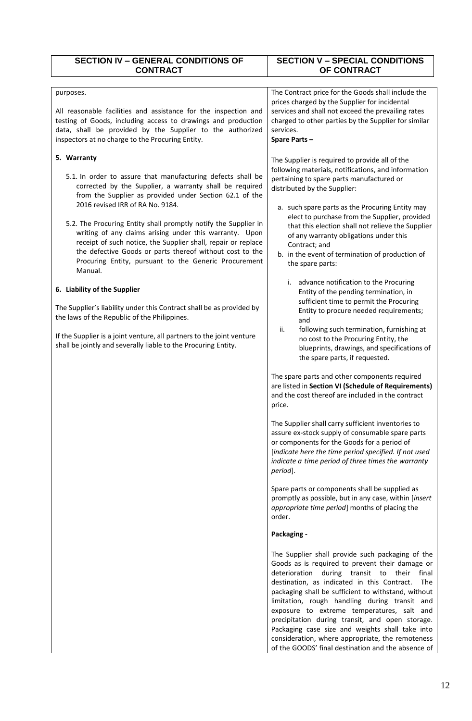| <b>SECTION IV - GENERAL CONDITIONS OF</b><br><b>CONTRACT</b>                                                                                                                                                                                                                                                                                                                                                                                                                                                                                                                                                                                                                                                                                                                                                                                                                                                                                                                                                                                                                                                                             | <b>SECTION V - SPECIAL CONDITIONS</b><br>OF CONTRACT                                                                                                                                                                                                                                                                                                                                                                                                                                                                                                                                                                                                                                                                                                                                                                                                                                                                                                                                                                                                                                                                                                                                                                                                                                                                          |
|------------------------------------------------------------------------------------------------------------------------------------------------------------------------------------------------------------------------------------------------------------------------------------------------------------------------------------------------------------------------------------------------------------------------------------------------------------------------------------------------------------------------------------------------------------------------------------------------------------------------------------------------------------------------------------------------------------------------------------------------------------------------------------------------------------------------------------------------------------------------------------------------------------------------------------------------------------------------------------------------------------------------------------------------------------------------------------------------------------------------------------------|-------------------------------------------------------------------------------------------------------------------------------------------------------------------------------------------------------------------------------------------------------------------------------------------------------------------------------------------------------------------------------------------------------------------------------------------------------------------------------------------------------------------------------------------------------------------------------------------------------------------------------------------------------------------------------------------------------------------------------------------------------------------------------------------------------------------------------------------------------------------------------------------------------------------------------------------------------------------------------------------------------------------------------------------------------------------------------------------------------------------------------------------------------------------------------------------------------------------------------------------------------------------------------------------------------------------------------|
| purposes.<br>All reasonable facilities and assistance for the inspection and<br>testing of Goods, including access to drawings and production<br>data, shall be provided by the Supplier to the authorized<br>inspectors at no charge to the Procuring Entity.<br>5. Warranty<br>5.1. In order to assure that manufacturing defects shall be<br>corrected by the Supplier, a warranty shall be required<br>from the Supplier as provided under Section 62.1 of the<br>2016 revised IRR of RA No. 9184.<br>5.2. The Procuring Entity shall promptly notify the Supplier in<br>writing of any claims arising under this warranty. Upon<br>receipt of such notice, the Supplier shall, repair or replace<br>the defective Goods or parts thereof without cost to the<br>Procuring Entity, pursuant to the Generic Procurement<br>Manual.<br>6. Liability of the Supplier<br>The Supplier's liability under this Contract shall be as provided by<br>the laws of the Republic of the Philippines.<br>If the Supplier is a joint venture, all partners to the joint venture<br>shall be jointly and severally liable to the Procuring Entity. | The Contract price for the Goods shall include the<br>prices charged by the Supplier for incidental<br>services and shall not exceed the prevailing rates<br>charged to other parties by the Supplier for similar<br>services.<br>Spare Parts-<br>The Supplier is required to provide all of the<br>following materials, notifications, and information<br>pertaining to spare parts manufactured or<br>distributed by the Supplier:<br>a. such spare parts as the Procuring Entity may<br>elect to purchase from the Supplier, provided<br>that this election shall not relieve the Supplier<br>of any warranty obligations under this<br>Contract; and<br>b. in the event of termination of production of<br>the spare parts:<br>advance notification to the Procuring<br>i.<br>Entity of the pending termination, in<br>sufficient time to permit the Procuring<br>Entity to procure needed requirements;<br>and<br>following such termination, furnishing at<br>ii.<br>no cost to the Procuring Entity, the<br>blueprints, drawings, and specifications of<br>the spare parts, if requested.<br>The spare parts and other components required<br>are listed in Section VI (Schedule of Requirements)<br>and the cost thereof are included in the contract<br>price.<br>The Supplier shall carry sufficient inventories to |
|                                                                                                                                                                                                                                                                                                                                                                                                                                                                                                                                                                                                                                                                                                                                                                                                                                                                                                                                                                                                                                                                                                                                          | assure ex-stock supply of consumable spare parts<br>or components for the Goods for a period of<br>[indicate here the time period specified. If not used<br>indicate a time period of three times the warranty                                                                                                                                                                                                                                                                                                                                                                                                                                                                                                                                                                                                                                                                                                                                                                                                                                                                                                                                                                                                                                                                                                                |
|                                                                                                                                                                                                                                                                                                                                                                                                                                                                                                                                                                                                                                                                                                                                                                                                                                                                                                                                                                                                                                                                                                                                          | period].<br>Spare parts or components shall be supplied as<br>promptly as possible, but in any case, within [insert<br>appropriate time period] months of placing the<br>order.                                                                                                                                                                                                                                                                                                                                                                                                                                                                                                                                                                                                                                                                                                                                                                                                                                                                                                                                                                                                                                                                                                                                               |
|                                                                                                                                                                                                                                                                                                                                                                                                                                                                                                                                                                                                                                                                                                                                                                                                                                                                                                                                                                                                                                                                                                                                          | Packaging -                                                                                                                                                                                                                                                                                                                                                                                                                                                                                                                                                                                                                                                                                                                                                                                                                                                                                                                                                                                                                                                                                                                                                                                                                                                                                                                   |
|                                                                                                                                                                                                                                                                                                                                                                                                                                                                                                                                                                                                                                                                                                                                                                                                                                                                                                                                                                                                                                                                                                                                          | The Supplier shall provide such packaging of the<br>Goods as is required to prevent their damage or<br>deterioration<br>during transit to their<br>final<br>destination, as indicated in this Contract.<br>The<br>packaging shall be sufficient to withstand, without<br>limitation, rough handling during transit and<br>exposure to extreme temperatures, salt and<br>precipitation during transit, and open storage.<br>Packaging case size and weights shall take into<br>consideration, where appropriate, the remoteness<br>of the GOODS' final destination and the absence of                                                                                                                                                                                                                                                                                                                                                                                                                                                                                                                                                                                                                                                                                                                                          |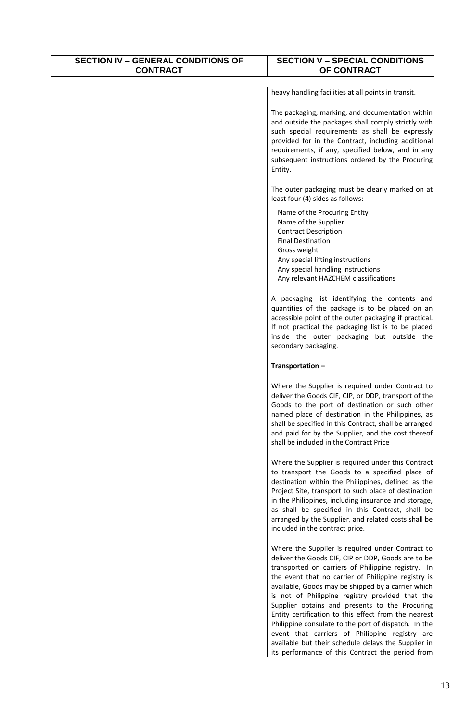| <b>SECTION IV - GENERAL CONDITIONS OF</b><br><b>CONTRACT</b> | <b>SECTION V - SPECIAL CONDITIONS</b><br>OF CONTRACT                                                                                                                                                                                                                                                                                                                                                                                                                                                                                                                                                                                                        |
|--------------------------------------------------------------|-------------------------------------------------------------------------------------------------------------------------------------------------------------------------------------------------------------------------------------------------------------------------------------------------------------------------------------------------------------------------------------------------------------------------------------------------------------------------------------------------------------------------------------------------------------------------------------------------------------------------------------------------------------|
|                                                              | heavy handling facilities at all points in transit.                                                                                                                                                                                                                                                                                                                                                                                                                                                                                                                                                                                                         |
|                                                              | The packaging, marking, and documentation within<br>and outside the packages shall comply strictly with<br>such special requirements as shall be expressly<br>provided for in the Contract, including additional<br>requirements, if any, specified below, and in any<br>subsequent instructions ordered by the Procuring<br>Entity.                                                                                                                                                                                                                                                                                                                        |
|                                                              | The outer packaging must be clearly marked on at<br>least four (4) sides as follows:                                                                                                                                                                                                                                                                                                                                                                                                                                                                                                                                                                        |
|                                                              | Name of the Procuring Entity<br>Name of the Supplier<br><b>Contract Description</b><br><b>Final Destination</b><br>Gross weight<br>Any special lifting instructions<br>Any special handling instructions<br>Any relevant HAZCHEM classifications                                                                                                                                                                                                                                                                                                                                                                                                            |
|                                                              | A packaging list identifying the contents and<br>quantities of the package is to be placed on an<br>accessible point of the outer packaging if practical.<br>If not practical the packaging list is to be placed<br>inside the outer packaging but outside the<br>secondary packaging.                                                                                                                                                                                                                                                                                                                                                                      |
|                                                              | Transportation-                                                                                                                                                                                                                                                                                                                                                                                                                                                                                                                                                                                                                                             |
|                                                              | Where the Supplier is required under Contract to<br>deliver the Goods CIF, CIP, or DDP, transport of the<br>Goods to the port of destination or such other<br>named place of destination in the Philippines, as<br>shall be specified in this Contract, shall be arranged<br>and paid for by the Supplier, and the cost thereof<br>shall be included in the Contract Price                                                                                                                                                                                                                                                                                  |
|                                                              | Where the Supplier is required under this Contract<br>to transport the Goods to a specified place of<br>destination within the Philippines, defined as the<br>Project Site, transport to such place of destination<br>in the Philippines, including insurance and storage,<br>as shall be specified in this Contract, shall be<br>arranged by the Supplier, and related costs shall be<br>included in the contract price.                                                                                                                                                                                                                                   |
|                                                              | Where the Supplier is required under Contract to<br>deliver the Goods CIF, CIP or DDP, Goods are to be<br>transported on carriers of Philippine registry. In<br>the event that no carrier of Philippine registry is<br>available, Goods may be shipped by a carrier which<br>is not of Philippine registry provided that the<br>Supplier obtains and presents to the Procuring<br>Entity certification to this effect from the nearest<br>Philippine consulate to the port of dispatch. In the<br>event that carriers of Philippine registry are<br>available but their schedule delays the Supplier in<br>its performance of this Contract the period from |